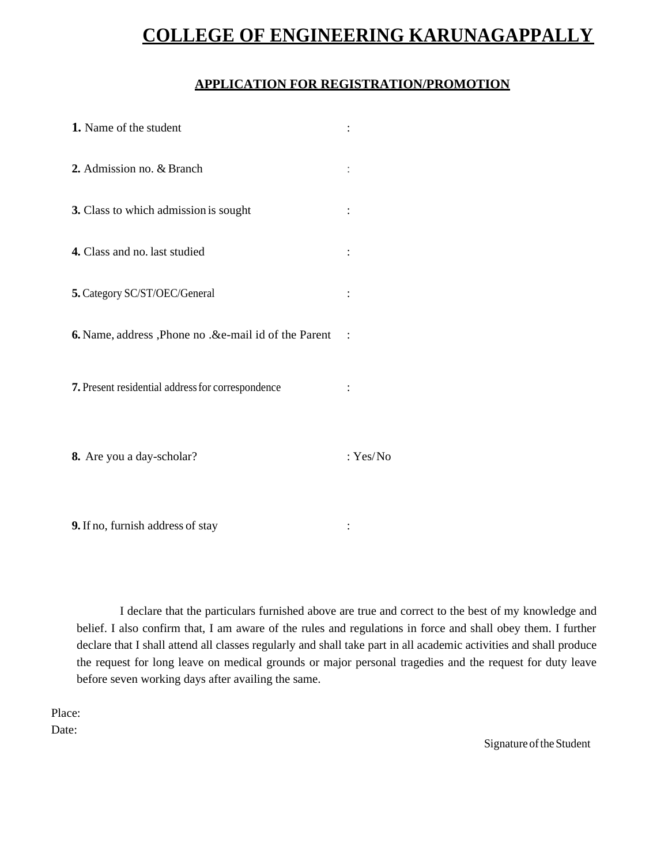## **COLLEGE OF ENGINEERING KARUNAGAPPALLY**

## **APPLICATION FOR REGISTRATION/PROMOTION**

| 1. Name of the student                               |                |
|------------------------------------------------------|----------------|
| 2. Admission no. & Branch                            |                |
| 3. Class to which admission is sought                |                |
| 4. Class and no. last studied                        |                |
| 5. Category SC/ST/OEC/General                        |                |
| 6. Name, address, Phone no .&e-mail id of the Parent |                |
| 7. Present residential address for correspondence    | $\ddot{\cdot}$ |
| 8. Are you a day-scholar?                            | : $Yes/No$     |
|                                                      |                |

**9.** If no, furnish address of stay :

I declare that the particulars furnished above are true and correct to the best of my knowledge and belief. I also confirm that, I am aware of the rules and regulations in force and shall obey them. I further declare that I shall attend all classes regularly and shall take part in all academic activities and shall produce the request for long leave on medical grounds or major personal tragedies and the request for duty leave before seven working days after availing the same.

Place:

Date:

Signature of the Student